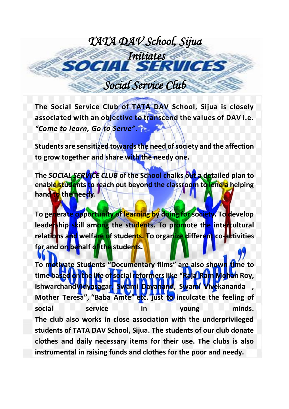## *TATA DAV School, Sijua Initiates*   $O(A/I)$  *Social Service Club*

**The Social Service Club of TATA DAV School, Sijua is closely associated with an objective to transcend the values of DAV i.e.**  *"Come to learn, Go to Serve".*

**Students are sensitized towards the need of society and the affection to grow together and share with the needy one.** 

**The** *SOCIAL SERVICE CLUB* **of the School chalks out a detailed plan to enable students to reach out beyond the classroom to lend a helping hand to the needy.**

**To generate opportunity of learning by doing for society. To develop leadership skill among the students. To promote the intercultural relations and welfare of students. To organize different co-activities for and on behalf of the students.**

**To motivate Students "Documentary films" are also shown time to time based on the life of social reformers like "Raja Ram Mohan Roy, IshwarchandVidyasagar, Swami Dayanand, Swami Vivekananda , Mother Teresa", "Baba Amte" etc. just to inculcate the feeling of social service in young minds. The club also works in close association with the underprivileged students of TATA DAV School, Sijua. The students of our club donate clothes and daily necessary items for their use. The clubs is also instrumental in raising funds and clothes for the poor and needy.**